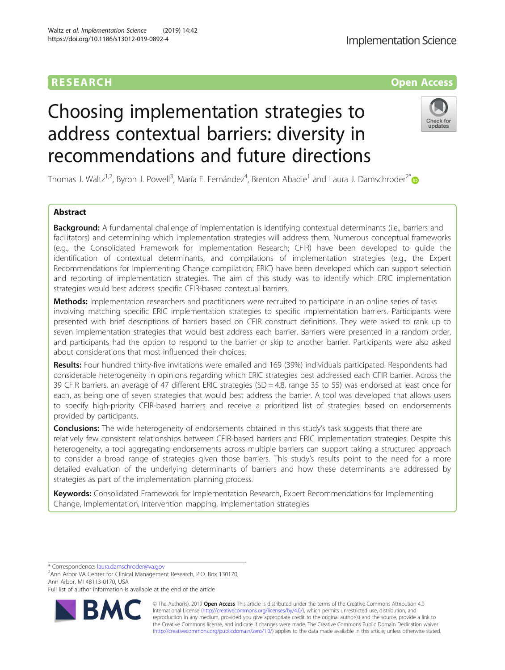# RESEARCH **RESEARCH CONSUMING THE CONSUMING THE CONSUMING TENS**

# Choosing implementation strategies to address contextual barriers: diversity in recommendations and future directions



Thomas J. Waltz<sup>1,2</sup>, Byron J. Powell<sup>3</sup>, María E. Fernández<sup>4</sup>, Brenton Abadie<sup>1</sup> and Laura J. Damschroder<sup>2[\\*](http://orcid.org/0000-0002-3657-8459)</sup>

# Abstract

**Background:** A fundamental challenge of implementation is identifying contextual determinants (i.e., barriers and facilitators) and determining which implementation strategies will address them. Numerous conceptual frameworks (e.g., the Consolidated Framework for Implementation Research; CFIR) have been developed to guide the identification of contextual determinants, and compilations of implementation strategies (e.g., the Expert Recommendations for Implementing Change compilation; ERIC) have been developed which can support selection and reporting of implementation strategies. The aim of this study was to identify which ERIC implementation strategies would best address specific CFIR-based contextual barriers.

Methods: Implementation researchers and practitioners were recruited to participate in an online series of tasks involving matching specific ERIC implementation strategies to specific implementation barriers. Participants were presented with brief descriptions of barriers based on CFIR construct definitions. They were asked to rank up to seven implementation strategies that would best address each barrier. Barriers were presented in a random order, and participants had the option to respond to the barrier or skip to another barrier. Participants were also asked about considerations that most influenced their choices.

Results: Four hundred thirty-five invitations were emailed and 169 (39%) individuals participated. Respondents had considerable heterogeneity in opinions regarding which ERIC strategies best addressed each CFIR barrier. Across the 39 CFIR barriers, an average of 47 different ERIC strategies (SD = 4.8, range 35 to 55) was endorsed at least once for each, as being one of seven strategies that would best address the barrier. A tool was developed that allows users to specify high-priority CFIR-based barriers and receive a prioritized list of strategies based on endorsements provided by participants.

**Conclusions:** The wide heterogeneity of endorsements obtained in this study's task suggests that there are relatively few consistent relationships between CFIR-based barriers and ERIC implementation strategies. Despite this heterogeneity, a tool aggregating endorsements across multiple barriers can support taking a structured approach to consider a broad range of strategies given those barriers. This study's results point to the need for a more detailed evaluation of the underlying determinants of barriers and how these determinants are addressed by strategies as part of the implementation planning process.

Keywords: Consolidated Framework for Implementation Research, Expert Recommendations for Implementing Change, Implementation, Intervention mapping, Implementation strategies

\* Correspondence: [laura.damschroder@va.gov](mailto:laura.damschroder@va.gov) <sup>2</sup>

<sup>2</sup> Ann Arbor VA Center for Clinical Management Research, P.O. Box 130170, Ann Arbor, MI 48113-0170, USA

Full list of author information is available at the end of the article



© The Author(s). 2019 Open Access This article is distributed under the terms of the Creative Commons Attribution 4.0 International License [\(http://creativecommons.org/licenses/by/4.0/](http://creativecommons.org/licenses/by/4.0/)), which permits unrestricted use, distribution, and reproduction in any medium, provided you give appropriate credit to the original author(s) and the source, provide a link to the Creative Commons license, and indicate if changes were made. The Creative Commons Public Domain Dedication waiver [\(http://creativecommons.org/publicdomain/zero/1.0/](http://creativecommons.org/publicdomain/zero/1.0/)) applies to the data made available in this article, unless otherwise stated.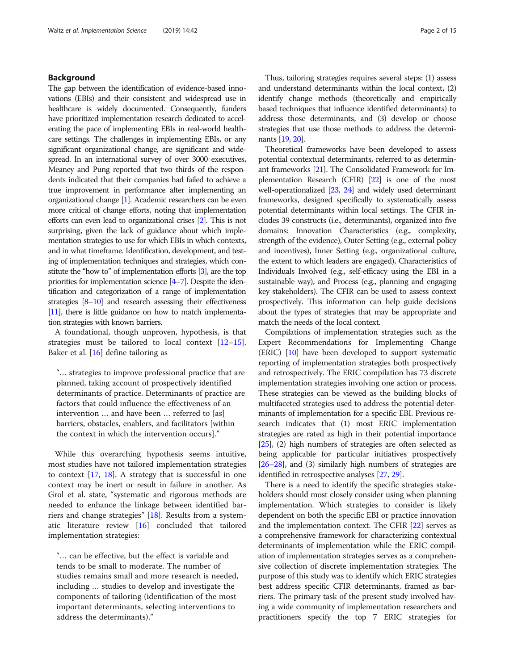# Background

The gap between the identification of evidence-based innovations (EBIs) and their consistent and widespread use in healthcare is widely documented. Consequently, funders have prioritized implementation research dedicated to accelerating the pace of implementing EBIs in real-world healthcare settings. The challenges in implementing EBIs, or any significant organizational change, are significant and widespread. In an international survey of over 3000 executives, Meaney and Pung reported that two thirds of the respondents indicated that their companies had failed to achieve a true improvement in performance after implementing an organizational change [\[1\]](#page-13-0). Academic researchers can be even more critical of change efforts, noting that implementation efforts can even lead to organizational crises [\[2](#page-13-0)]. This is not surprising, given the lack of guidance about which implementation strategies to use for which EBIs in which contexts, and in what timeframe. Identification, development, and testing of implementation techniques and strategies, which constitute the "how to" of implementation efforts [[3](#page-13-0)], are the top priorities for implementation science [[4](#page-13-0)–[7](#page-13-0)]. Despite the identification and categorization of a range of implementation strategies [\[8](#page-13-0)–[10\]](#page-13-0) and research assessing their effectiveness [[11\]](#page-13-0), there is little guidance on how to match implementation strategies with known barriers.

A foundational, though unproven, hypothesis, is that strategies must be tailored to local context [[12](#page-13-0)–[15](#page-13-0)]. Baker et al. [[16](#page-13-0)] define tailoring as

"… strategies to improve professional practice that are planned, taking account of prospectively identified determinants of practice. Determinants of practice are factors that could influence the effectiveness of an intervention … and have been … referred to [as] barriers, obstacles, enablers, and facilitators [within the context in which the intervention occurs]."

While this overarching hypothesis seems intuitive, most studies have not tailored implementation strategies to context  $[17, 18]$  $[17, 18]$  $[17, 18]$  $[17, 18]$  $[17, 18]$ . A strategy that is successful in one context may be inert or result in failure in another. As Grol et al. state, "systematic and rigorous methods are needed to enhance the linkage between identified barriers and change strategies" [[18\]](#page-14-0). Results from a systematic literature review [\[16](#page-13-0)] concluded that tailored implementation strategies:

"… can be effective, but the effect is variable and tends to be small to moderate. The number of studies remains small and more research is needed, including … studies to develop and investigate the components of tailoring (identification of the most important determinants, selecting interventions to address the determinants)."

Thus, tailoring strategies requires several steps: (1) assess and understand determinants within the local context, (2) identify change methods (theoretically and empirically based techniques that influence identified determinants) to address those determinants, and (3) develop or choose strategies that use those methods to address the determinants [[19](#page-14-0), [20](#page-14-0)].

Theoretical frameworks have been developed to assess potential contextual determinants, referred to as determinant frameworks [\[21\]](#page-14-0). The Consolidated Framework for Implementation Research (CFIR) [[22](#page-14-0)] is one of the most well-operationalized [\[23,](#page-14-0) [24\]](#page-14-0) and widely used determinant frameworks, designed specifically to systematically assess potential determinants within local settings. The CFIR includes 39 constructs (i.e., determinants), organized into five domains: Innovation Characteristics (e.g., complexity, strength of the evidence), Outer Setting (e.g., external policy and incentives), Inner Setting (e.g., organizational culture, the extent to which leaders are engaged), Characteristics of Individuals Involved (e.g., self-efficacy using the EBI in a sustainable way), and Process (e.g., planning and engaging key stakeholders). The CFIR can be used to assess context prospectively. This information can help guide decisions about the types of strategies that may be appropriate and match the needs of the local context.

Compilations of implementation strategies such as the Expert Recommendations for Implementing Change (ERIC) [[10\]](#page-13-0) have been developed to support systematic reporting of implementation strategies both prospectively and retrospectively. The ERIC compilation has 73 discrete implementation strategies involving one action or process. These strategies can be viewed as the building blocks of multifaceted strategies used to address the potential determinants of implementation for a specific EBI. Previous research indicates that (1) most ERIC implementation strategies are rated as high in their potential importance [[25](#page-14-0)], (2) high numbers of strategies are often selected as being applicable for particular initiatives prospectively [[26](#page-14-0)–[28\]](#page-14-0), and (3) similarly high numbers of strategies are identified in retrospective analyses [\[27](#page-14-0), [29](#page-14-0)].

There is a need to identify the specific strategies stakeholders should most closely consider using when planning implementation. Which strategies to consider is likely dependent on both the specific EBI or practice innovation and the implementation context. The CFIR [[22](#page-14-0)] serves as a comprehensive framework for characterizing contextual determinants of implementation while the ERIC compilation of implementation strategies serves as a comprehensive collection of discrete implementation strategies. The purpose of this study was to identify which ERIC strategies best address specific CFIR determinants, framed as barriers. The primary task of the present study involved having a wide community of implementation researchers and practitioners specify the top 7 ERIC strategies for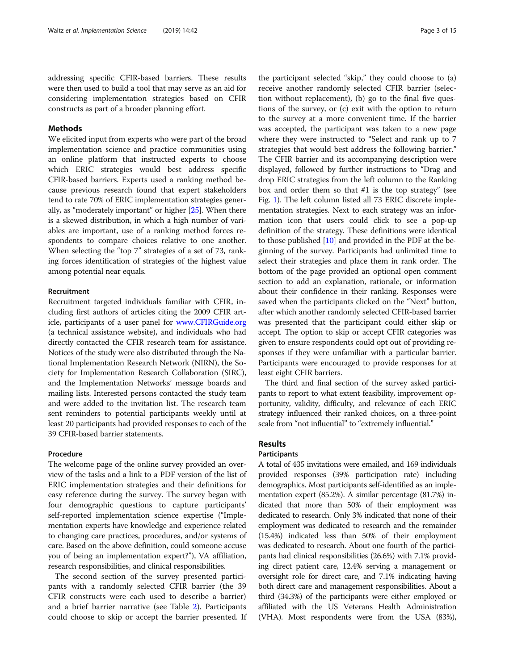addressing specific CFIR-based barriers. These results were then used to build a tool that may serve as an aid for considering implementation strategies based on CFIR constructs as part of a broader planning effort.

# Methods

We elicited input from experts who were part of the broad implementation science and practice communities using an online platform that instructed experts to choose which ERIC strategies would best address specific CFIR-based barriers. Experts used a ranking method because previous research found that expert stakeholders tend to rate 70% of ERIC implementation strategies generally, as "moderately important" or higher [\[25\]](#page-14-0). When there is a skewed distribution, in which a high number of variables are important, use of a ranking method forces respondents to compare choices relative to one another. When selecting the "top 7" strategies of a set of 73, ranking forces identification of strategies of the highest value among potential near equals.

# Recruitment

Recruitment targeted individuals familiar with CFIR, including first authors of articles citing the 2009 CFIR article, participants of a user panel for [www.CFIRGuide.org](http://www.cfirguide.org) (a technical assistance website), and individuals who had directly contacted the CFIR research team for assistance. Notices of the study were also distributed through the National Implementation Research Network (NIRN), the Society for Implementation Research Collaboration (SIRC), and the Implementation Networks' message boards and mailing lists. Interested persons contacted the study team and were added to the invitation list. The research team sent reminders to potential participants weekly until at least 20 participants had provided responses to each of the 39 CFIR-based barrier statements.

# Procedure

The welcome page of the online survey provided an overview of the tasks and a link to a PDF version of the list of ERIC implementation strategies and their definitions for easy reference during the survey. The survey began with four demographic questions to capture participants' self-reported implementation science expertise ("Implementation experts have knowledge and experience related to changing care practices, procedures, and/or systems of care. Based on the above definition, could someone accuse you of being an implementation expert?"), VA affiliation, research responsibilities, and clinical responsibilities.

The second section of the survey presented participants with a randomly selected CFIR barrier (the 39 CFIR constructs were each used to describe a barrier) and a brief barrier narrative (see Table [2](#page-6-0)). Participants could choose to skip or accept the barrier presented. If

the participant selected "skip," they could choose to (a) receive another randomly selected CFIR barrier (selection without replacement), (b) go to the final five questions of the survey, or (c) exit with the option to return to the survey at a more convenient time. If the barrier was accepted, the participant was taken to a new page where they were instructed to "Select and rank up to 7 strategies that would best address the following barrier." The CFIR barrier and its accompanying description were displayed, followed by further instructions to "Drag and drop ERIC strategies from the left column to the Ranking box and order them so that #1 is the top strategy" (see Fig. [1](#page-3-0)). The left column listed all 73 ERIC discrete implementation strategies. Next to each strategy was an information icon that users could click to see a pop-up definition of the strategy. These definitions were identical to those published [[10\]](#page-13-0) and provided in the PDF at the beginning of the survey. Participants had unlimited time to select their strategies and place them in rank order. The bottom of the page provided an optional open comment section to add an explanation, rationale, or information about their confidence in their ranking. Responses were saved when the participants clicked on the "Next" button, after which another randomly selected CFIR-based barrier was presented that the participant could either skip or accept. The option to skip or accept CFIR categories was given to ensure respondents could opt out of providing responses if they were unfamiliar with a particular barrier. Participants were encouraged to provide responses for at least eight CFIR barriers.

The third and final section of the survey asked participants to report to what extent feasibility, improvement opportunity, validity, difficulty, and relevance of each ERIC strategy influenced their ranked choices, on a three-point scale from "not influential" to "extremely influential."

# Results

# Participants

A total of 435 invitations were emailed, and 169 individuals provided responses (39% participation rate) including demographics. Most participants self-identified as an implementation expert (85.2%). A similar percentage (81.7%) indicated that more than 50% of their employment was dedicated to research. Only 3% indicated that none of their employment was dedicated to research and the remainder (15.4%) indicated less than 50% of their employment was dedicated to research. About one fourth of the participants had clinical responsibilities (26.6%) with 7.1% providing direct patient care, 12.4% serving a management or oversight role for direct care, and 7.1% indicating having both direct care and management responsibilities. About a third (34.3%) of the participants were either employed or affiliated with the US Veterans Health Administration (VHA). Most respondents were from the USA (83%),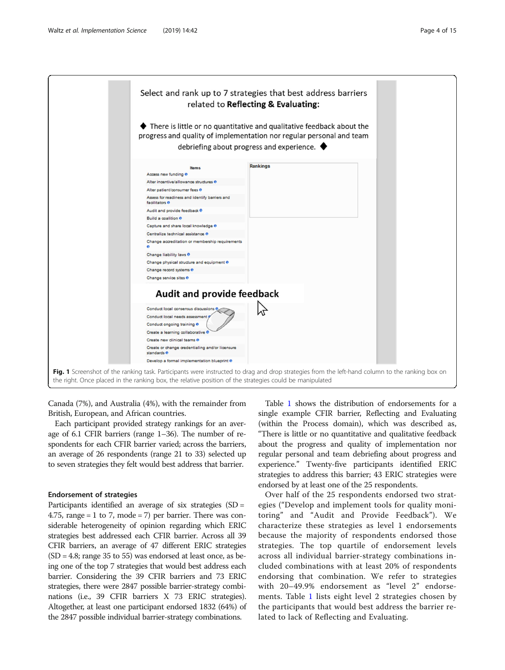<span id="page-3-0"></span>

Canada (7%), and Australia (4%), with the remainder from British, European, and African countries.

Each participant provided strategy rankings for an average of 6.1 CFIR barriers (range 1–36). The number of respondents for each CFIR barrier varied; across the barriers, an average of 26 respondents (range 21 to 33) selected up to seven strategies they felt would best address that barrier.

# Endorsement of strategies

Participants identified an average of six strategies (SD = 4.75, range  $= 1$  to 7, mode  $= 7$ ) per barrier. There was considerable heterogeneity of opinion regarding which ERIC strategies best addressed each CFIR barrier. Across all 39 CFIR barriers, an average of 47 different ERIC strategies  $(SD = 4.8; \text{ range } 35 \text{ to } 55)$  was endorsed at least once, as being one of the top 7 strategies that would best address each barrier. Considering the 39 CFIR barriers and 73 ERIC strategies, there were 2847 possible barrier-strategy combinations (i.e., 39 CFIR barriers X 73 ERIC strategies). Altogether, at least one participant endorsed 1832 (64%) of the 2847 possible individual barrier-strategy combinations.

Table [1](#page-4-0) shows the distribution of endorsements for a single example CFIR barrier, Reflecting and Evaluating (within the Process domain), which was described as, "There is little or no quantitative and qualitative feedback about the progress and quality of implementation nor regular personal and team debriefing about progress and experience." Twenty-five participants identified ERIC strategies to address this barrier; 43 ERIC strategies were endorsed by at least one of the 25 respondents.

Over half of the 25 respondents endorsed two strategies ("Develop and implement tools for quality monitoring" and "Audit and Provide Feedback"). We characterize these strategies as level 1 endorsements because the majority of respondents endorsed those strategies. The top quartile of endorsement levels across all individual barrier-strategy combinations included combinations with at least 20% of respondents endorsing that combination. We refer to strategies with 20–49.9% endorsement as "level 2" endorsements. Table [1](#page-4-0) lists eight level 2 strategies chosen by the participants that would best address the barrier related to lack of Reflecting and Evaluating.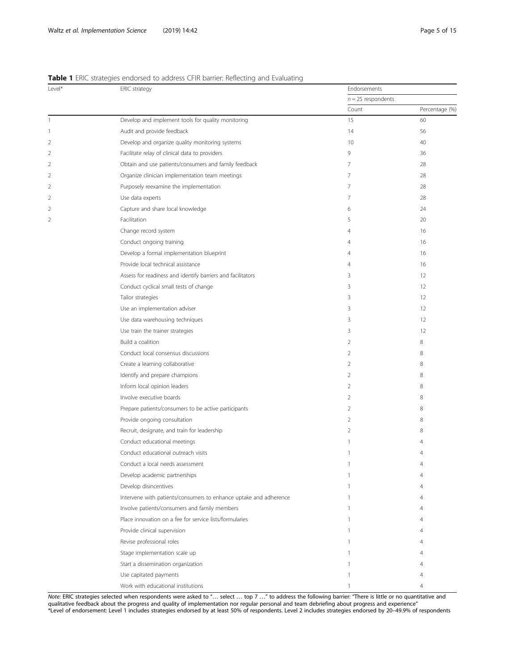# <span id="page-4-0"></span>Table 1 ERIC strategies endorsed to address CFIR barrier: Reflecting and Evaluating

| Level*         | ERIC strategy                                                     | Endorsements                                                                                                                                                                                                                                                                                             | $n = 25$ respondents |  |  |
|----------------|-------------------------------------------------------------------|----------------------------------------------------------------------------------------------------------------------------------------------------------------------------------------------------------------------------------------------------------------------------------------------------------|----------------------|--|--|
|                |                                                                   |                                                                                                                                                                                                                                                                                                          |                      |  |  |
|                |                                                                   | Count                                                                                                                                                                                                                                                                                                    | Percentage (%)       |  |  |
| 1              | Develop and implement tools for quality monitoring                | 15                                                                                                                                                                                                                                                                                                       | 60                   |  |  |
| 1              | Audit and provide feedback                                        | 14                                                                                                                                                                                                                                                                                                       | 56                   |  |  |
| 2              | Develop and organize quality monitoring systems                   | 10                                                                                                                                                                                                                                                                                                       | 40                   |  |  |
| 2              | Facilitate relay of clinical data to providers                    | 9                                                                                                                                                                                                                                                                                                        | 36                   |  |  |
| 2              | Obtain and use patients/consumers and family feedback             | 7                                                                                                                                                                                                                                                                                                        | 28                   |  |  |
| 2              | Organize clinician implementation team meetings                   | 7                                                                                                                                                                                                                                                                                                        | 28                   |  |  |
| 2              | Purposely reexamine the implementation                            | 7                                                                                                                                                                                                                                                                                                        | 28                   |  |  |
| $\overline{2}$ | Use data experts                                                  | 7                                                                                                                                                                                                                                                                                                        | 28                   |  |  |
| $\overline{2}$ | Capture and share local knowledge                                 | 6                                                                                                                                                                                                                                                                                                        | 24                   |  |  |
| $\overline{2}$ | Facilitation                                                      | 5                                                                                                                                                                                                                                                                                                        | 20                   |  |  |
|                | Change record system                                              | $\overline{4}$                                                                                                                                                                                                                                                                                           | 16                   |  |  |
|                | Conduct ongoing training                                          | 4<br>$\overline{4}$<br>4<br>3<br>3<br>3<br>3<br>3<br>3<br>$\overline{2}$<br>$\overline{2}$<br>2<br>$\overline{2}$<br>$\overline{2}$<br>$\overline{2}$<br>$\overline{2}$<br>$\overline{2}$<br>$\overline{2}$<br>$\mathbf{1}$<br>1<br>1<br>1<br>1<br>1<br>1<br>1<br>1<br>1<br>$\mathbf{1}$<br>$\mathbf{1}$ | 16                   |  |  |
|                | Develop a formal implementation blueprint                         |                                                                                                                                                                                                                                                                                                          | 16                   |  |  |
|                | Provide local technical assistance                                |                                                                                                                                                                                                                                                                                                          | 16                   |  |  |
|                | Assess for readiness and identify barriers and facilitators       |                                                                                                                                                                                                                                                                                                          | 12                   |  |  |
|                | Conduct cyclical small tests of change                            |                                                                                                                                                                                                                                                                                                          | 12                   |  |  |
|                | Tailor strategies                                                 |                                                                                                                                                                                                                                                                                                          | 12                   |  |  |
|                | Use an implementation adviser                                     |                                                                                                                                                                                                                                                                                                          | 12                   |  |  |
|                | Use data warehousing techniques                                   |                                                                                                                                                                                                                                                                                                          | 12                   |  |  |
|                | Use train the trainer strategies                                  |                                                                                                                                                                                                                                                                                                          | 12                   |  |  |
|                | Build a coalition                                                 |                                                                                                                                                                                                                                                                                                          | 8                    |  |  |
|                | Conduct local consensus discussions                               |                                                                                                                                                                                                                                                                                                          | 8                    |  |  |
|                | Create a learning collaborative                                   |                                                                                                                                                                                                                                                                                                          | 8                    |  |  |
|                | Identify and prepare champions                                    |                                                                                                                                                                                                                                                                                                          | 8                    |  |  |
|                | Inform local opinion leaders                                      |                                                                                                                                                                                                                                                                                                          | 8                    |  |  |
|                | Involve executive boards                                          |                                                                                                                                                                                                                                                                                                          | 8                    |  |  |
|                | Prepare patients/consumers to be active participants              |                                                                                                                                                                                                                                                                                                          | 8                    |  |  |
|                | Provide ongoing consultation                                      |                                                                                                                                                                                                                                                                                                          | 8                    |  |  |
|                | Recruit, designate, and train for leadership                      |                                                                                                                                                                                                                                                                                                          | 8                    |  |  |
|                | Conduct educational meetings                                      |                                                                                                                                                                                                                                                                                                          |                      |  |  |
|                | Conduct educational outreach visits                               |                                                                                                                                                                                                                                                                                                          | 4                    |  |  |
|                | Conduct a local needs assessment                                  |                                                                                                                                                                                                                                                                                                          |                      |  |  |
|                | Develop academic partnerships                                     |                                                                                                                                                                                                                                                                                                          |                      |  |  |
|                | Develop disincentives                                             |                                                                                                                                                                                                                                                                                                          |                      |  |  |
|                | Intervene with patients/consumers to enhance uptake and adherence |                                                                                                                                                                                                                                                                                                          |                      |  |  |
|                | Involve patients/consumers and family members                     |                                                                                                                                                                                                                                                                                                          |                      |  |  |
|                | Place innovation on a fee for service lists/formularies           |                                                                                                                                                                                                                                                                                                          |                      |  |  |
|                | Provide clinical supervision                                      |                                                                                                                                                                                                                                                                                                          |                      |  |  |
|                | Revise professional roles                                         |                                                                                                                                                                                                                                                                                                          |                      |  |  |
|                | Stage implementation scale up                                     |                                                                                                                                                                                                                                                                                                          |                      |  |  |
|                | Start a dissemination organization                                |                                                                                                                                                                                                                                                                                                          |                      |  |  |
|                | Use capitated payments                                            |                                                                                                                                                                                                                                                                                                          |                      |  |  |
|                | Work with educational institutions                                |                                                                                                                                                                                                                                                                                                          | 4                    |  |  |

Note: ERIC strategies selected when respondents were asked to "… select … top 7 …" to address the following barrier: "There is little or no quantitative and qualitative feedback about the progress and quality of implementation nor regular personal and team debriefing about progress and experience" \*Level of endorsement: Level 1 includes strategies endorsed by at least 50% of respondents. Level 2 includes strategies endorsed by 20–49.9% of respondents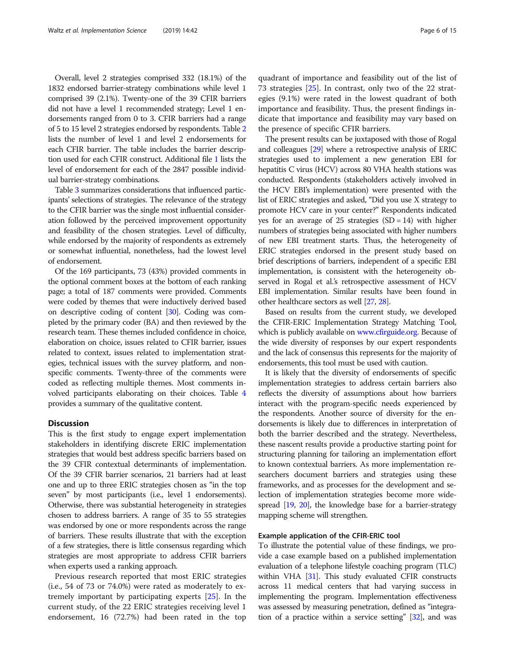Overall, level 2 strategies comprised 332 (18.1%) of the 1832 endorsed barrier-strategy combinations while level 1 comprised 39 (2.1%). Twenty-one of the 39 CFIR barriers did not have a level 1 recommended strategy; Level 1 endorsements ranged from 0 to 3. CFIR barriers had a range of 5 to 15 level 2 strategies endorsed by respondents. Table [2](#page-6-0) lists the number of level 1 and level 2 endorsements for each CFIR barrier. The table includes the barrier description used for each CFIR construct. Additional file [1](#page-13-0) lists the level of endorsement for each of the 2847 possible individual barrier-strategy combinations.

Table [3](#page-8-0) summarizes considerations that influenced participants' selections of strategies. The relevance of the strategy to the CFIR barrier was the single most influential consideration followed by the perceived improvement opportunity and feasibility of the chosen strategies. Level of difficulty, while endorsed by the majority of respondents as extremely or somewhat influential, nonetheless, had the lowest level of endorsement.

Of the 169 participants, 73 (43%) provided comments in the optional comment boxes at the bottom of each ranking page; a total of 187 comments were provided. Comments were coded by themes that were inductively derived based on descriptive coding of content [\[30\]](#page-14-0). Coding was completed by the primary coder (BA) and then reviewed by the research team. These themes included confidence in choice, elaboration on choice, issues related to CFIR barrier, issues related to context, issues related to implementation strategies, technical issues with the survey platform, and nonspecific comments. Twenty-three of the comments were coded as reflecting multiple themes. Most comments involved participants elaborating on their choices. Table [4](#page-9-0) provides a summary of the qualitative content.

#### **Discussion**

This is the first study to engage expert implementation stakeholders in identifying discrete ERIC implementation strategies that would best address specific barriers based on the 39 CFIR contextual determinants of implementation. Of the 39 CFIR barrier scenarios, 21 barriers had at least one and up to three ERIC strategies chosen as "in the top seven" by most participants (i.e., level 1 endorsements). Otherwise, there was substantial heterogeneity in strategies chosen to address barriers. A range of 35 to 55 strategies was endorsed by one or more respondents across the range of barriers. These results illustrate that with the exception of a few strategies, there is little consensus regarding which strategies are most appropriate to address CFIR barriers when experts used a ranking approach.

Previous research reported that most ERIC strategies (i.e., 54 of 73 or 74.0%) were rated as moderately to extremely important by participating experts [[25\]](#page-14-0). In the current study, of the 22 ERIC strategies receiving level 1 endorsement, 16 (72.7%) had been rated in the top

quadrant of importance and feasibility out of the list of 73 strategies [\[25](#page-14-0)]. In contrast, only two of the 22 strategies (9.1%) were rated in the lowest quadrant of both importance and feasibility. Thus, the present findings indicate that importance and feasibility may vary based on the presence of specific CFIR barriers.

The present results can be juxtaposed with those of Rogal and colleagues [\[29](#page-14-0)] where a retrospective analysis of ERIC strategies used to implement a new generation EBI for hepatitis C virus (HCV) across 80 VHA health stations was conducted. Respondents (stakeholders actively involved in the HCV EBI's implementation) were presented with the list of ERIC strategies and asked, "Did you use X strategy to promote HCV care in your center?" Respondents indicated yes for an average of  $25$  strategies  $(SD = 14)$  with higher numbers of strategies being associated with higher numbers of new EBI treatment starts. Thus, the heterogeneity of ERIC strategies endorsed in the present study based on brief descriptions of barriers, independent of a specific EBI implementation, is consistent with the heterogeneity observed in Rogal et al.'s retrospective assessment of HCV EBI implementation. Similar results have been found in other healthcare sectors as well [\[27,](#page-14-0) [28\]](#page-14-0).

Based on results from the current study, we developed the CFIR-ERIC Implementation Strategy Matching Tool, which is publicly available on [www.cfirguide.org](http://www.cfirguide.org). Because of the wide diversity of responses by our expert respondents and the lack of consensus this represents for the majority of endorsements, this tool must be used with caution.

It is likely that the diversity of endorsements of specific implementation strategies to address certain barriers also reflects the diversity of assumptions about how barriers interact with the program-specific needs experienced by the respondents. Another source of diversity for the endorsements is likely due to differences in interpretation of both the barrier described and the strategy. Nevertheless, these nascent results provide a productive starting point for structuring planning for tailoring an implementation effort to known contextual barriers. As more implementation researchers document barriers and strategies using these frameworks, and as processes for the development and selection of implementation strategies become more widespread [\[19,](#page-14-0) [20](#page-14-0)], the knowledge base for a barrier-strategy mapping scheme will strengthen.

### Example application of the CFIR-ERIC tool

To illustrate the potential value of these findings, we provide a case example based on a published implementation evaluation of a telephone lifestyle coaching program (TLC) within VHA [\[31\]](#page-14-0). This study evaluated CFIR constructs across 11 medical centers that had varying success in implementing the program. Implementation effectiveness was assessed by measuring penetration, defined as "integration of a practice within a service setting" [\[32\]](#page-14-0), and was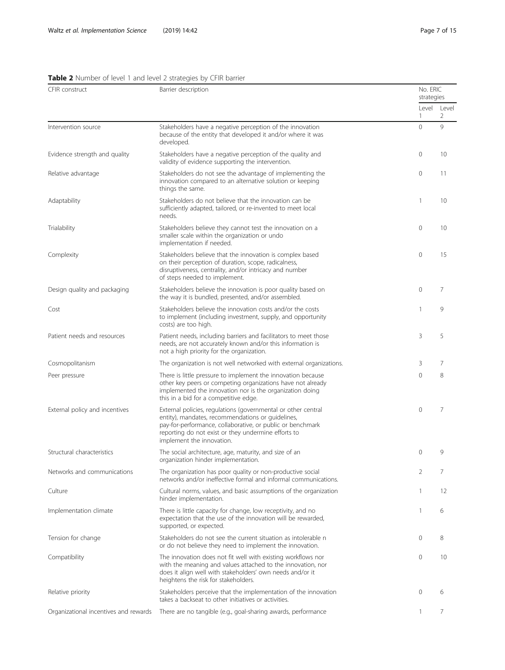<span id="page-6-0"></span>

| CFIR construct                        | Barrier description                                                                                                                                                                                                                                                  | No. ERIC<br>strategies |                  |  |
|---------------------------------------|----------------------------------------------------------------------------------------------------------------------------------------------------------------------------------------------------------------------------------------------------------------------|------------------------|------------------|--|
|                                       |                                                                                                                                                                                                                                                                      | 1                      | Level Level<br>2 |  |
| Intervention source                   | Stakeholders have a negative perception of the innovation<br>because of the entity that developed it and/or where it was<br>developed.                                                                                                                               | $\mathbf 0$            | 9                |  |
| Evidence strength and quality         | Stakeholders have a negative perception of the quality and<br>validity of evidence supporting the intervention.                                                                                                                                                      | 0                      | 10               |  |
| Relative advantage                    | Stakeholders do not see the advantage of implementing the<br>innovation compared to an alternative solution or keeping<br>things the same.                                                                                                                           | 0                      | 11               |  |
| Adaptability                          | Stakeholders do not believe that the innovation can be<br>sufficiently adapted, tailored, or re-invented to meet local<br>needs.                                                                                                                                     | 1                      | 10               |  |
| Trialability                          | Stakeholders believe they cannot test the innovation on a<br>smaller scale within the organization or undo<br>implementation if needed.                                                                                                                              | 0                      | 10               |  |
| Complexity                            | Stakeholders believe that the innovation is complex based<br>on their perception of duration, scope, radicalness,<br>disruptiveness, centrality, and/or intricacy and number<br>of steps needed to implement.                                                        | $\mathbf 0$            | 15               |  |
| Design quality and packaging          | Stakeholders believe the innovation is poor quality based on<br>the way it is bundled, presented, and/or assembled.                                                                                                                                                  | 0                      | 7                |  |
| Cost                                  | Stakeholders believe the innovation costs and/or the costs<br>to implement (including investment, supply, and opportunity<br>costs) are too high.                                                                                                                    | 1                      | 9                |  |
| Patient needs and resources           | Patient needs, including barriers and facilitators to meet those<br>needs, are not accurately known and/or this information is<br>not a high priority for the organization.                                                                                          | 3                      | 5                |  |
| Cosmopolitanism                       | The organization is not well networked with external organizations.                                                                                                                                                                                                  | 3                      | 7                |  |
| Peer pressure                         | There is little pressure to implement the innovation because<br>other key peers or competing organizations have not already<br>implemented the innovation nor is the organization doing<br>this in a bid for a competitive edge.                                     | $\mathbf 0$            | 8                |  |
| External policy and incentives        | External policies, regulations (governmental or other central<br>entity), mandates, recommendations or guidelines,<br>pay-for-performance, collaborative, or public or benchmark<br>reporting do not exist or they undermine efforts to<br>implement the innovation. | $\overline{0}$         | 7                |  |
| Structural characteristics            | The social architecture, age, maturity, and size of an<br>organization hinder implementation.                                                                                                                                                                        | $\mathbf{0}$           | 9                |  |
| Networks and communications           | The organization has poor quality or non-productive social<br>networks and/or ineffective formal and informal communications.                                                                                                                                        | 2                      | 7                |  |
| Culture                               | Cultural norms, values, and basic assumptions of the organization<br>hinder implementation.                                                                                                                                                                          | 1                      | 12               |  |
| Implementation climate                | There is little capacity for change, low receptivity, and no<br>expectation that the use of the innovation will be rewarded,<br>supported, or expected.                                                                                                              | 1                      | 6                |  |
| Tension for change                    | Stakeholders do not see the current situation as intolerable n<br>or do not believe they need to implement the innovation.                                                                                                                                           | $\mathbf{0}$           | 8                |  |
| Compatibility                         | The innovation does not fit well with existing workflows nor<br>with the meaning and values attached to the innovation, nor<br>does it align well with stakeholders' own needs and/or it<br>heightens the risk for stakeholders.                                     | $\mathbf{0}$           | 10               |  |
| Relative priority                     | Stakeholders perceive that the implementation of the innovation<br>takes a backseat to other initiatives or activities.                                                                                                                                              | $\mathbf{0}$           | 6                |  |
| Organizational incentives and rewards | There are no tangible (e.g., goal-sharing awards, performance                                                                                                                                                                                                        | 1                      | 7                |  |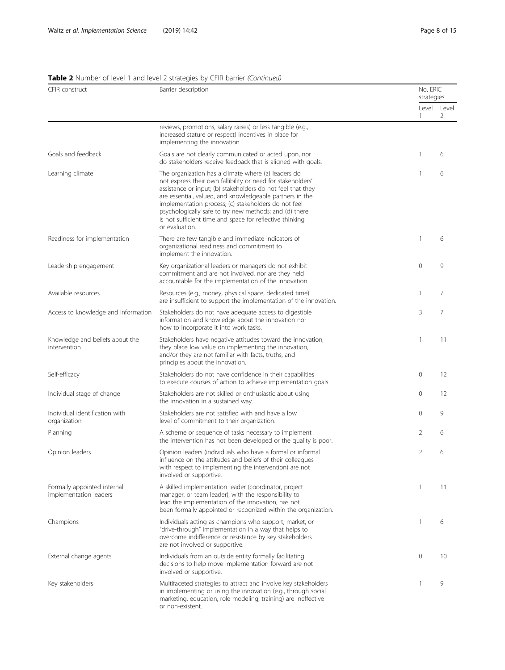# Table 2 Number of level 1 and level 2 strategies by CFIR barrier (Continued)

| CFIR construct                                        | Barrier description                                                                                                                                                                                                                                                                                                                                                                                                                           |   | No. ERIC<br>strategies |
|-------------------------------------------------------|-----------------------------------------------------------------------------------------------------------------------------------------------------------------------------------------------------------------------------------------------------------------------------------------------------------------------------------------------------------------------------------------------------------------------------------------------|---|------------------------|
|                                                       |                                                                                                                                                                                                                                                                                                                                                                                                                                               | 1 | Level Level<br>2       |
|                                                       | reviews, promotions, salary raises) or less tangible (e.g.,<br>increased stature or respect) incentives in place for<br>implementing the innovation.                                                                                                                                                                                                                                                                                          |   |                        |
| Goals and feedback                                    | Goals are not clearly communicated or acted upon, nor<br>do stakeholders receive feedback that is aligned with goals.                                                                                                                                                                                                                                                                                                                         | 1 | 6                      |
| Learning climate                                      | The organization has a climate where (a) leaders do<br>not express their own fallibility or need for stakeholders'<br>assistance or input; (b) stakeholders do not feel that they<br>are essential, valued, and knowledgeable partners in the<br>implementation process; (c) stakeholders do not feel<br>psychologically safe to try new methods; and (d) there<br>is not sufficient time and space for reflective thinking<br>or evaluation. | 1 | 6                      |
| Readiness for implementation                          | There are few tangible and immediate indicators of<br>organizational readiness and commitment to<br>implement the innovation.                                                                                                                                                                                                                                                                                                                 | 1 | 6                      |
| Leadership engagement                                 | Key organizational leaders or managers do not exhibit<br>commitment and are not involved, nor are they held<br>accountable for the implementation of the innovation.                                                                                                                                                                                                                                                                          | 0 | 9                      |
| Available resources                                   | Resources (e.g., money, physical space, dedicated time)<br>are insufficient to support the implementation of the innovation.                                                                                                                                                                                                                                                                                                                  | 1 | 7                      |
| Access to knowledge and information                   | Stakeholders do not have adequate access to digestible<br>information and knowledge about the innovation nor<br>how to incorporate it into work tasks.                                                                                                                                                                                                                                                                                        | 3 | 7                      |
| Knowledge and beliefs about the<br>intervention       | Stakeholders have negative attitudes toward the innovation,<br>they place low value on implementing the innovation,<br>and/or they are not familiar with facts, truths, and<br>principles about the innovation.                                                                                                                                                                                                                               | 1 | 11                     |
| Self-efficacy                                         | Stakeholders do not have confidence in their capabilities<br>to execute courses of action to achieve implementation goals.                                                                                                                                                                                                                                                                                                                    | 0 | 12                     |
| Individual stage of change                            | Stakeholders are not skilled or enthusiastic about using<br>the innovation in a sustained way.                                                                                                                                                                                                                                                                                                                                                | 0 | 12                     |
| Individual identification with<br>organization        | Stakeholders are not satisfied with and have a low<br>level of commitment to their organization.                                                                                                                                                                                                                                                                                                                                              | 0 | 9                      |
| Planning                                              | A scheme or sequence of tasks necessary to implement<br>the intervention has not been developed or the quality is poor.                                                                                                                                                                                                                                                                                                                       | 2 | 6                      |
| Opinion leaders                                       | Opinion leaders (individuals who have a formal or informal<br>influence on the attitudes and beliefs of their colleagues<br>with respect to implementing the intervention) are not<br>involved or supportive.                                                                                                                                                                                                                                 | 2 | 6                      |
| Formally appointed internal<br>implementation leaders | A skilled implementation leader (coordinator, project<br>manager, or team leader), with the responsibility to<br>lead the implementation of the innovation, has not<br>been formally appointed or recognized within the organization.                                                                                                                                                                                                         | 1 | 11                     |
| Champions                                             | Individuals acting as champions who support, market, or<br>"drive-through" implementation in a way that helps to<br>overcome indifference or resistance by key stakeholders<br>are not involved or supportive.                                                                                                                                                                                                                                | 1 | 6                      |
| External change agents                                | Individuals from an outside entity formally facilitating<br>decisions to help move implementation forward are not<br>involved or supportive.                                                                                                                                                                                                                                                                                                  | 0 | 10                     |
| Key stakeholders                                      | Multifaceted strategies to attract and involve key stakeholders<br>in implementing or using the innovation (e.g., through social<br>marketing, education, role modeling, training) are ineffective<br>or non-existent.                                                                                                                                                                                                                        | 1 | 9                      |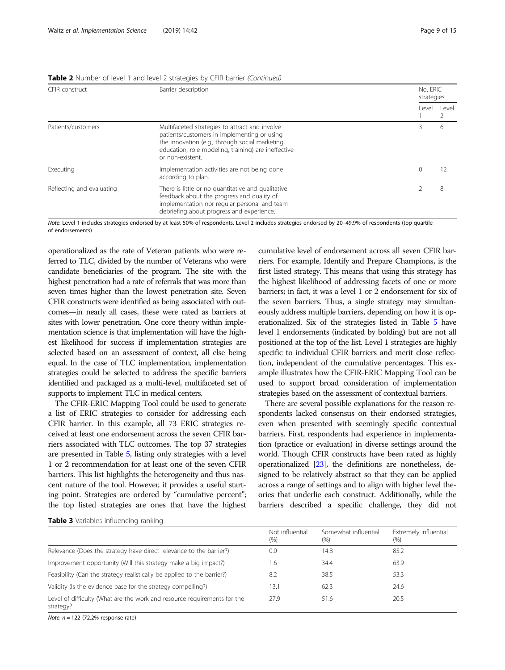| CFIR construct            | Barrier description                                                                                                                                                                                                         |        | No. ERIC<br>strategies |  |
|---------------------------|-----------------------------------------------------------------------------------------------------------------------------------------------------------------------------------------------------------------------------|--------|------------------------|--|
|                           |                                                                                                                                                                                                                             | l evel | Level                  |  |
| Patients/customers        | Multifaceted strategies to attract and involve<br>patients/customers in implementing or using<br>the innovation (e.g., through social marketing,<br>education, role modeling, training) are ineffective<br>or non-existent. |        | 6                      |  |
| Executing                 | Implementation activities are not being done<br>according to plan.                                                                                                                                                          | 0      |                        |  |
| Reflecting and evaluating | There is little or no quantitative and qualitative<br>feedback about the progress and quality of<br>implementation nor regular personal and team<br>debriefing about progress and experience.                               |        | 8                      |  |

<span id="page-8-0"></span>Table 2 Number of level 1 and level 2 strategies by CFIR barrier (Continued)

Note: Level 1 includes strategies endorsed by at least 50% of respondents. Level 2 includes strategies endorsed by 20–49.9% of respondents (top quartile of endorsements)

operationalized as the rate of Veteran patients who were referred to TLC, divided by the number of Veterans who were candidate beneficiaries of the program. The site with the highest penetration had a rate of referrals that was more than seven times higher than the lowest penetration site. Seven CFIR constructs were identified as being associated with outcomes—in nearly all cases, these were rated as barriers at sites with lower penetration. One core theory within implementation science is that implementation will have the highest likelihood for success if implementation strategies are selected based on an assessment of context, all else being equal. In the case of TLC implementation, implementation strategies could be selected to address the specific barriers identified and packaged as a multi-level, multifaceted set of supports to implement TLC in medical centers.

The CFIR-ERIC Mapping Tool could be used to generate a list of ERIC strategies to consider for addressing each CFIR barrier. In this example, all 73 ERIC strategies received at least one endorsement across the seven CFIR barriers associated with TLC outcomes. The top 37 strategies are presented in Table [5](#page-10-0), listing only strategies with a level 1 or 2 recommendation for at least one of the seven CFIR barriers. This list highlights the heterogeneity and thus nascent nature of the tool. However, it provides a useful starting point. Strategies are ordered by "cumulative percent"; the top listed strategies are ones that have the highest cumulative level of endorsement across all seven CFIR barriers. For example, Identify and Prepare Champions, is the first listed strategy. This means that using this strategy has the highest likelihood of addressing facets of one or more barriers; in fact, it was a level 1 or 2 endorsement for six of the seven barriers. Thus, a single strategy may simultaneously address multiple barriers, depending on how it is operationalized. Six of the strategies listed in Table [5](#page-10-0) have level 1 endorsements (indicated by bolding) but are not all positioned at the top of the list. Level 1 strategies are highly specific to individual CFIR barriers and merit close reflection, independent of the cumulative percentages. This example illustrates how the CFIR-ERIC Mapping Tool can be used to support broad consideration of implementation strategies based on the assessment of contextual barriers.

There are several possible explanations for the reason respondents lacked consensus on their endorsed strategies, even when presented with seemingly specific contextual barriers. First, respondents had experience in implementation (practice or evaluation) in diverse settings around the world. Though CFIR constructs have been rated as highly operationalized [[23\]](#page-14-0), the definitions are nonetheless, designed to be relatively abstract so that they can be applied across a range of settings and to align with higher level theories that underlie each construct. Additionally, while the barriers described a specific challenge, they did not

|  |  |  | Table 3 Variables influencing ranking |  |
|--|--|--|---------------------------------------|--|
|--|--|--|---------------------------------------|--|

|                                                                                       | Not influential<br>$(\% )$ | Somewhat influential<br>(%) | Extremely influential<br>$(\% )$ |
|---------------------------------------------------------------------------------------|----------------------------|-----------------------------|----------------------------------|
| Relevance (Does the strategy have direct relevance to the barrier?)                   | 0.0                        | 14.8                        | 85.2                             |
| Improvement opportunity (Will this strategy make a big impact?)                       | 1.6                        | 34.4                        | 63.9                             |
| Feasibility (Can the strategy realistically be applied to the barrier?)               | 8.2                        | 38.5                        | 53.3                             |
| Validity (Is the evidence base for the strategy compelling?)                          | 13.1                       | 62.3                        | 24.6                             |
| Level of difficulty (What are the work and resource requirements for the<br>strategy? | 27.9                       | 51.6                        | 20.5                             |

Note:  $n = 122$  (72.2% response rate)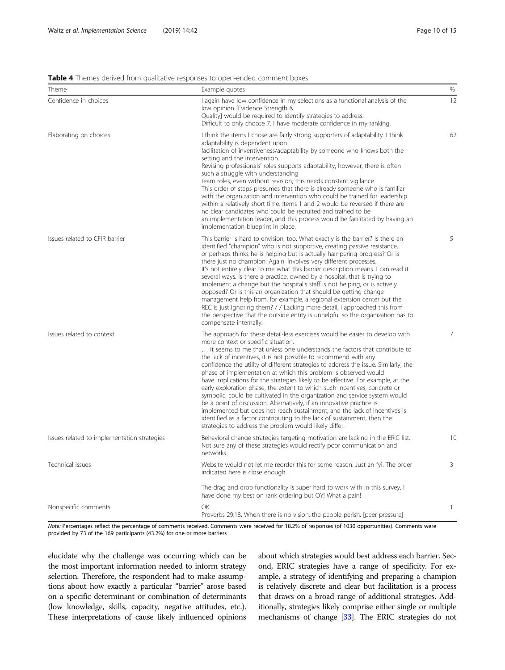<span id="page-9-0"></span>Table 4 Themes derived from qualitative responses to open-ended comment boxes

| Theme                                       | Example quotes                                                                                                                                                                                                                                                                                                                                                                                                                                                                                                                                                                                                                                                                                                                                                                                                                                                                                                                                                            | $\%$           |
|---------------------------------------------|---------------------------------------------------------------------------------------------------------------------------------------------------------------------------------------------------------------------------------------------------------------------------------------------------------------------------------------------------------------------------------------------------------------------------------------------------------------------------------------------------------------------------------------------------------------------------------------------------------------------------------------------------------------------------------------------------------------------------------------------------------------------------------------------------------------------------------------------------------------------------------------------------------------------------------------------------------------------------|----------------|
| Confidence in choices                       | I again have low confidence in my selections as a functional analysis of the<br>low opinion [Evidence Strength &<br>Quality] would be required to identify strategies to address.<br>Difficult to only choose 7. I have moderate confidence in my ranking.                                                                                                                                                                                                                                                                                                                                                                                                                                                                                                                                                                                                                                                                                                                | 12             |
| Elaborating on choices                      | I think the items I chose are fairly strong supporters of adaptability. I think<br>adaptability is dependent upon<br>facilitation of inventiveness/adaptability by someone who knows both the<br>setting and the intervention.<br>Revising professionals' roles supports adaptability, however, there is often<br>such a struggle with understanding<br>team roles, even without revision, this needs constant vigilance.<br>This order of steps presumes that there is already someone who is familiar<br>with the organization and intervention who could be trained for leadership<br>within a relatively short time. Items 1 and 2 would be reversed if there are<br>no clear candidates who could be recruited and trained to be<br>an implementation leader, and this process would be facilitated by having an<br>implementation blueprint in place.                                                                                                               | 62             |
| Issues related to CFIR barrier              | This barrier is hard to envision, too. What exactly is the barrier? Is there an<br>identified "champion" who is not supportive, creating passive resistance,<br>or perhaps thinks he is helping but is actually hampering progress? Or is<br>there just no champion. Again, involves very different processes.<br>It's not entirely clear to me what this barrier description means. I can read it<br>several ways. Is there a practice, owned by a hospital, that is trying to<br>implement a change but the hospital's staff is not helping, or is actively<br>opposed? Or is this an organization that should be getting change<br>management help from, for example, a regional extension center but the<br>REC is just ignoring them? / / Lacking more detail, I approached this from<br>the perspective that the outside entity is unhelpful so the organization has to<br>compensate internally.                                                                   | 5              |
| Issues related to context                   | The approach for these detail-less exercises would be easier to develop with<br>more context or specific situation.<br>it seems to me that unless one understands the factors that contribute to<br>the lack of incentives, it is not possible to recommend with any<br>confidence the utility of different strategies to address the issue. Similarly, the<br>phase of implementation at which this problem is observed would<br>have implications for the strategies likely to be effective. For example, at the<br>early exploration phase, the extent to which such incentives, concrete or<br>symbolic, could be cultivated in the organization and service system would<br>be a point of discussion. Alternatively, if an innovative practice is<br>implemented but does not reach sustainment, and the lack of incentives is<br>identified as a factor contributing to the lack of sustainment, then the<br>strategies to address the problem would likely differ. | $\overline{7}$ |
| Issues related to implementation strategies | Behavioral change strategies targeting motivation are lacking in the ERIC list.<br>Not sure any of these strategies would rectify poor communication and<br>networks.                                                                                                                                                                                                                                                                                                                                                                                                                                                                                                                                                                                                                                                                                                                                                                                                     | 10             |
| Technical issues                            | Website would not let me reorder this for some reason. Just an fyi. The order<br>indicated here is close enough.<br>The drag and drop functionality is super hard to work with in this survey. I<br>have done my best on rank ordering but OY! What a pain!                                                                                                                                                                                                                                                                                                                                                                                                                                                                                                                                                                                                                                                                                                               | 3              |
| Nonspecific comments                        | OK<br>Proverbs 29:18. When there is no vision, the people perish. [peer pressure]                                                                                                                                                                                                                                                                                                                                                                                                                                                                                                                                                                                                                                                                                                                                                                                                                                                                                         | 1              |

Note: Percentages reflect the percentage of comments received. Comments were received for 18.2% of responses (of 1030 opportunities). Comments were provided by 73 of the 169 participants (43.2%) for one or more barriers

elucidate why the challenge was occurring which can be the most important information needed to inform strategy selection. Therefore, the respondent had to make assumptions about how exactly a particular "barrier" arose based on a specific determinant or combination of determinants (low knowledge, skills, capacity, negative attitudes, etc.). These interpretations of cause likely influenced opinions about which strategies would best address each barrier. Second, ERIC strategies have a range of specificity. For example, a strategy of identifying and preparing a champion is relatively discrete and clear but facilitation is a process that draws on a broad range of additional strategies. Additionally, strategies likely comprise either single or multiple mechanisms of change [\[33\]](#page-14-0). The ERIC strategies do not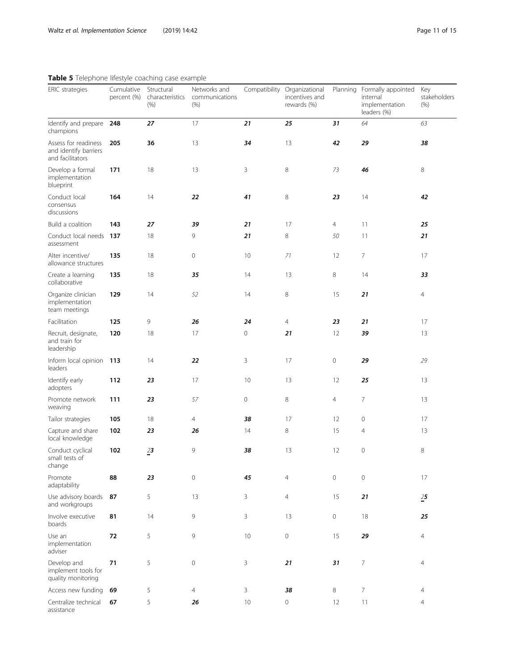| <b>Table 3</b> Telephone inestyle coaching case example.          |                           |                                       |                                        |    |                                                               |                     |                                                                          |                             |
|-------------------------------------------------------------------|---------------------------|---------------------------------------|----------------------------------------|----|---------------------------------------------------------------|---------------------|--------------------------------------------------------------------------|-----------------------------|
| ERIC strategies                                                   | Cumulative<br>percent (%) | Structural<br>characteristics<br>(% ) | Networks and<br>communications<br>(% ) |    | Compatibility Organizational<br>incentives and<br>rewards (%) |                     | Planning Formally appointed<br>internal<br>implementation<br>leaders (%) | Key<br>stakeholders<br>(% ) |
| Identify and prepare<br>champions                                 | 248                       | 27                                    | 17                                     | 21 | 25                                                            | 31                  | 64                                                                       | 63                          |
| Assess for readiness<br>and identify barriers<br>and facilitators | 205                       | 36                                    | 13                                     | 34 | 13                                                            | 42                  | 29                                                                       | 38                          |
| Develop a formal<br>implementation<br>blueprint                   | 171                       | 18                                    | 13                                     | 3  | 8                                                             | 73                  | 46                                                                       | 8                           |
| Conduct local<br>consensus<br>discussions                         | 164                       | 14                                    | 22                                     | 41 | 8                                                             | 23                  | 14                                                                       | 42                          |
| Build a coalition                                                 | 143                       | 27                                    | 39                                     | 21 | 17                                                            | $\overline{4}$      | 11                                                                       | 25                          |
| Conduct local needs 137<br>assessment                             |                           | 18                                    | 9                                      | 21 | 8                                                             | 50                  | 11                                                                       | 21                          |
| Alter incentive/<br>allowance structures                          | 135                       | 18                                    | $\mathbf 0$                            | 10 | 71                                                            | 12                  | 7                                                                        | 17                          |
| Create a learning<br>collaborative                                | 135                       | 18                                    | 35                                     | 14 | 13                                                            | 8                   | 14                                                                       | 33                          |
| Organize clinician<br>implementation<br>team meetings             | 129                       | 14                                    | 52                                     | 14 | 8                                                             | 15                  | 21                                                                       | $\overline{4}$              |
| Facilitation                                                      | 125                       | 9                                     | 26                                     | 24 | $\overline{4}$                                                | 23                  | 21                                                                       | 17                          |
| Recruit, designate,<br>and train for<br>leadership                | 120                       | 18                                    | 17                                     | 0  | 21                                                            | 12                  | 39                                                                       | 13                          |
| Inform local opinion 113<br>leaders                               |                           | 14                                    | 22                                     | 3  | 17                                                            | $\mathsf{O}\xspace$ | 29                                                                       | 29                          |
| Identify early<br>adopters                                        | 112                       | 23                                    | 17                                     | 10 | 13                                                            | 12                  | 25                                                                       | 13                          |
| Promote network<br>weaving                                        | 111                       | 23                                    | 57                                     | 0  | $\,8\,$                                                       | 4                   | $\overline{7}$                                                           | 13                          |
| Tailor strategies                                                 | 105                       | 18                                    | $\overline{4}$                         | 38 | 17                                                            | 12                  | $\mathbf 0$                                                              | 17                          |
| Capture and share<br>local knowledge                              | 102                       | 23                                    | 26                                     | 14 | 8                                                             | 15                  | $\overline{4}$                                                           | 13                          |
| Conduct cyclical<br>small tests of<br>change                      | 102                       | 23                                    | 9                                      | 38 | 13                                                            | 12                  | $\mathbf 0$                                                              | 8                           |
| Promote<br>adaptability                                           | 88                        | 23                                    | $\mathbf 0$                            | 45 | $\overline{4}$                                                | $\mathbf 0$         | $\circ$                                                                  | 17                          |
| Use advisory boards<br>and workgroups                             | 87                        | 5                                     | 13                                     | 3  | $\overline{4}$                                                | 15                  | 21                                                                       | $25$                        |
| Involve executive<br>boards                                       | 81                        | 14                                    | 9                                      | 3  | 13                                                            | $\mathsf{O}\xspace$ | 18                                                                       | 25                          |
| Use an<br>implementation<br>adviser                               | 72                        | 5                                     | 9                                      | 10 | $\mathsf{O}\xspace$                                           | 15                  | 29                                                                       | $\overline{4}$              |
| Develop and<br>implement tools for<br>quality monitoring          | 71                        | 5                                     | $\mathbb O$                            | 3  | 21                                                            | 31                  | $\overline{7}$                                                           | 4                           |
| Access new funding                                                | 69                        | 5                                     | $\overline{4}$                         | 3  | 38                                                            | 8                   | $\overline{7}$                                                           | 4                           |
| Centralize technical<br>assistance                                | 67                        | 5                                     | 26                                     | 10 | $\mathbb O$                                                   | 12                  | 11                                                                       | $\overline{4}$              |

# <span id="page-10-0"></span>Table 5 Telephone lifestyle coaching case example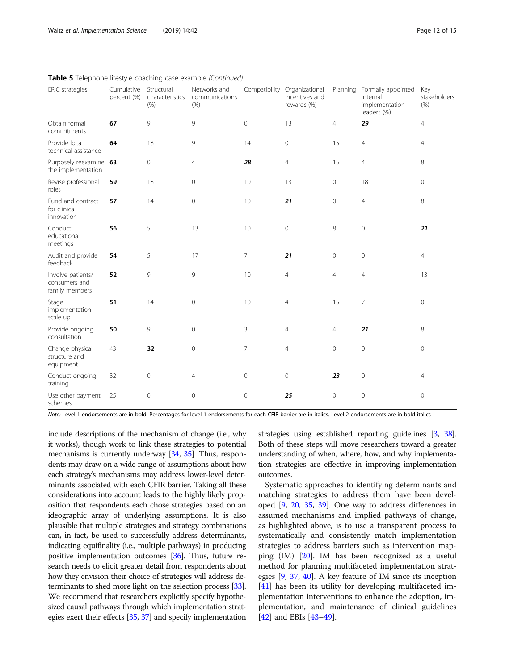| ERIC strategies                                      | Cumulative<br>percent (%) | Structural<br>characteristics<br>(% ) | Networks and<br>communications<br>(% ) |                     | Compatibility Organizational<br>incentives and<br>rewards (%) |                     | Planning Formally appointed<br>internal<br>implementation<br>leaders (%) | Key<br>stakeholders<br>(% ) |
|------------------------------------------------------|---------------------------|---------------------------------------|----------------------------------------|---------------------|---------------------------------------------------------------|---------------------|--------------------------------------------------------------------------|-----------------------------|
| Obtain formal<br>commitments                         | 67                        | 9                                     | 9                                      | $\mathsf{O}\xspace$ | 13                                                            | $\overline{4}$      | 29                                                                       | $\overline{4}$              |
| Provide local<br>technical assistance                | 64                        | 18                                    | 9                                      | 14                  | $\mathsf{O}\xspace$                                           | 15                  | $\overline{4}$                                                           | 4                           |
| Purposely reexamine 63<br>the implementation         |                           | $\circ$                               | 4                                      | 28                  | 4                                                             | 15                  | 4                                                                        | 8                           |
| Revise professional<br>roles                         | 59                        | 18                                    | $\mathbf{0}$                           | 10                  | 13                                                            | $\mathsf{O}\xspace$ | 18                                                                       | 0                           |
| Fund and contract<br>for clinical<br>innovation      | 57                        | 14                                    | $\mathbf{0}$                           | 10                  | 21                                                            | $\mathsf{O}\xspace$ | 4                                                                        | 8                           |
| Conduct<br>educational<br>meetings                   | 56                        | 5                                     | 13                                     | 10                  | $\mathsf{O}\xspace$                                           | 8                   | $\mathbf 0$                                                              | 21                          |
| Audit and provide<br>feedback                        | 54                        | 5                                     | 17                                     | $\overline{7}$      | 21                                                            | $\circ$             | $\mathbf 0$                                                              | $\overline{4}$              |
| Involve patients/<br>consumers and<br>family members | 52                        | 9                                     | 9                                      | 10                  | $\overline{4}$                                                | 4                   | $\overline{4}$                                                           | 13                          |
| Stage<br>implementation<br>scale up                  | 51                        | 14                                    | $\mathbf 0$                            | 10                  | $\overline{4}$                                                | 15                  | 7                                                                        | 0                           |
| Provide ongoing<br>consultation                      | 50                        | 9                                     | $\mathbf 0$                            | 3                   | $\overline{4}$                                                | $\overline{4}$      | 21                                                                       | 8                           |
| Change physical<br>structure and<br>equipment        | 43                        | 32                                    | $\mathbf 0$                            | $\overline{7}$      | $\overline{4}$                                                | $\mathsf{O}\xspace$ | $\mathbf 0$                                                              | 0                           |
| Conduct ongoing<br>training                          | 32                        | $\circ$                               | $\overline{4}$                         | $\mathsf{O}\xspace$ | $\mathsf{O}\xspace$                                           | 23                  | $\mathbf 0$                                                              | $\overline{4}$              |
| Use other payment<br>schemes                         | 25                        | $\overline{0}$                        | $\mathbf{0}$                           | $\mathbf 0$         | 25                                                            | $\circ$             | $\overline{0}$                                                           | 0                           |

Table 5 Telephone lifestyle coaching case example (Continued)

Note: Level 1 endorsements are in bold. Percentages for level 1 endorsements for each CFIR barrier are in italics. Level 2 endorsements are in bold italics

include descriptions of the mechanism of change (i.e., why it works), though work to link these strategies to potential mechanisms is currently underway [\[34](#page-14-0), [35](#page-14-0)]. Thus, respondents may draw on a wide range of assumptions about how each strategy's mechanisms may address lower-level determinants associated with each CFIR barrier. Taking all these considerations into account leads to the highly likely proposition that respondents each chose strategies based on an ideographic array of underlying assumptions. It is also plausible that multiple strategies and strategy combinations can, in fact, be used to successfully address determinants, indicating equifinality (i.e., multiple pathways) in producing positive implementation outcomes [\[36\]](#page-14-0). Thus, future research needs to elicit greater detail from respondents about how they envision their choice of strategies will address determinants to shed more light on the selection process [\[33](#page-14-0)]. We recommend that researchers explicitly specify hypothesized causal pathways through which implementation strategies exert their effects [\[35,](#page-14-0) [37\]](#page-14-0) and specify implementation strategies using established reporting guidelines [[3](#page-13-0), [38](#page-14-0)]. Both of these steps will move researchers toward a greater understanding of when, where, how, and why implementation strategies are effective in improving implementation outcomes.

Systematic approaches to identifying determinants and matching strategies to address them have been developed [[9,](#page-13-0) [20,](#page-14-0) [35,](#page-14-0) [39\]](#page-14-0). One way to address differences in assumed mechanisms and implied pathways of change, as highlighted above, is to use a transparent process to systematically and consistently match implementation strategies to address barriers such as intervention mapping  $(IM)$   $[20]$ . IM has been recognized as a useful method for planning multifaceted implementation strategies [\[9](#page-13-0), [37,](#page-14-0) [40](#page-14-0)]. A key feature of IM since its inception [[41\]](#page-14-0) has been its utility for developing multifaceted implementation interventions to enhance the adoption, implementation, and maintenance of clinical guidelines [[42\]](#page-14-0) and EBIs [\[43](#page-14-0)–[49\]](#page-14-0).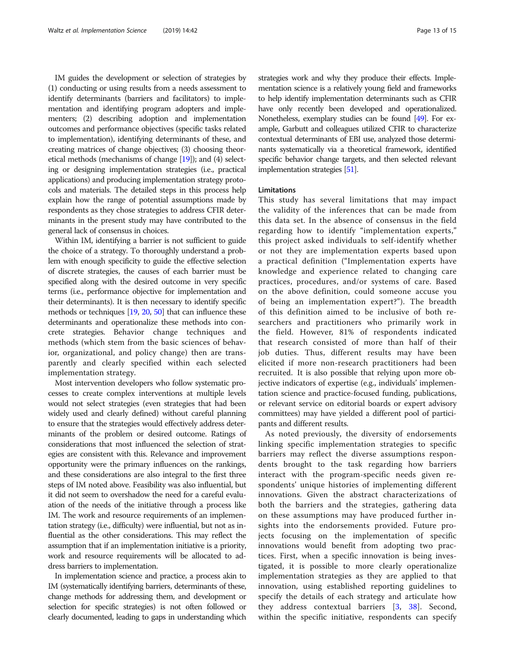IM guides the development or selection of strategies by (1) conducting or using results from a needs assessment to identify determinants (barriers and facilitators) to implementation and identifying program adopters and implementers; (2) describing adoption and implementation outcomes and performance objectives (specific tasks related to implementation), identifying determinants of these, and creating matrices of change objectives; (3) choosing theoretical methods (mechanisms of change [[19\]](#page-14-0)); and (4) selecting or designing implementation strategies (i.e., practical applications) and producing implementation strategy protocols and materials. The detailed steps in this process help explain how the range of potential assumptions made by respondents as they chose strategies to address CFIR determinants in the present study may have contributed to the general lack of consensus in choices.

Within IM, identifying a barrier is not sufficient to guide the choice of a strategy. To thoroughly understand a problem with enough specificity to guide the effective selection of discrete strategies, the causes of each barrier must be specified along with the desired outcome in very specific terms (i.e., performance objective for implementation and their determinants). It is then necessary to identify specific methods or techniques [\[19](#page-14-0), [20,](#page-14-0) [50\]](#page-14-0) that can influence these determinants and operationalize these methods into concrete strategies. Behavior change techniques and methods (which stem from the basic sciences of behavior, organizational, and policy change) then are transparently and clearly specified within each selected implementation strategy.

Most intervention developers who follow systematic processes to create complex interventions at multiple levels would not select strategies (even strategies that had been widely used and clearly defined) without careful planning to ensure that the strategies would effectively address determinants of the problem or desired outcome. Ratings of considerations that most influenced the selection of strategies are consistent with this. Relevance and improvement opportunity were the primary influences on the rankings, and these considerations are also integral to the first three steps of IM noted above. Feasibility was also influential, but it did not seem to overshadow the need for a careful evaluation of the needs of the initiative through a process like IM. The work and resource requirements of an implementation strategy (i.e., difficulty) were influential, but not as influential as the other considerations. This may reflect the assumption that if an implementation initiative is a priority, work and resource requirements will be allocated to address barriers to implementation.

In implementation science and practice, a process akin to IM (systematically identifying barriers, determinants of these, change methods for addressing them, and development or selection for specific strategies) is not often followed or clearly documented, leading to gaps in understanding which strategies work and why they produce their effects. Implementation science is a relatively young field and frameworks to help identify implementation determinants such as CFIR have only recently been developed and operationalized. Nonetheless, exemplary studies can be found [\[49](#page-14-0)]. For example, Garbutt and colleagues utilized CFIR to characterize contextual determinants of EBI use, analyzed those determinants systematically via a theoretical framework, identified specific behavior change targets, and then selected relevant implementation strategies [[51\]](#page-14-0).

# Limitations

This study has several limitations that may impact the validity of the inferences that can be made from this data set. In the absence of consensus in the field regarding how to identify "implementation experts," this project asked individuals to self-identify whether or not they are implementation experts based upon a practical definition ("Implementation experts have knowledge and experience related to changing care practices, procedures, and/or systems of care. Based on the above definition, could someone accuse you of being an implementation expert?"). The breadth of this definition aimed to be inclusive of both researchers and practitioners who primarily work in the field. However, 81% of respondents indicated that research consisted of more than half of their job duties. Thus, different results may have been elicited if more non-research practitioners had been recruited. It is also possible that relying upon more objective indicators of expertise (e.g., individuals' implementation science and practice-focused funding, publications, or relevant service on editorial boards or expert advisory committees) may have yielded a different pool of participants and different results.

As noted previously, the diversity of endorsements linking specific implementation strategies to specific barriers may reflect the diverse assumptions respondents brought to the task regarding how barriers interact with the program-specific needs given respondents' unique histories of implementing different innovations. Given the abstract characterizations of both the barriers and the strategies, gathering data on these assumptions may have produced further insights into the endorsements provided. Future projects focusing on the implementation of specific innovations would benefit from adopting two practices. First, when a specific innovation is being investigated, it is possible to more clearly operationalize implementation strategies as they are applied to that innovation, using established reporting guidelines to specify the details of each strategy and articulate how they address contextual barriers [\[3](#page-13-0), [38](#page-14-0)]. Second, within the specific initiative, respondents can specify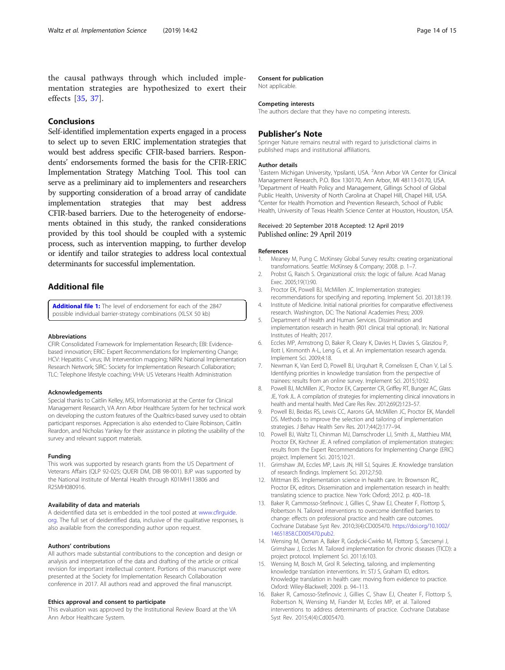<span id="page-13-0"></span>the causal pathways through which included implementation strategies are hypothesized to exert their effects [[35,](#page-14-0) [37\]](#page-14-0).

# **Conclusions**

Self-identified implementation experts engaged in a process to select up to seven ERIC implementation strategies that would best address specific CFIR-based barriers. Respondents' endorsements formed the basis for the CFIR-ERIC Implementation Strategy Matching Tool. This tool can serve as a preliminary aid to implementers and researchers by supporting consideration of a broad array of candidate implementation strategies that may best address CFIR-based barriers. Due to the heterogeneity of endorsements obtained in this study, the ranked considerations provided by this tool should be coupled with a systemic process, such as intervention mapping, to further develop or identify and tailor strategies to address local contextual determinants for successful implementation.

# Additional file

[Additional file 1:](https://doi.org/10.1186/s13012-019-0892-4) The level of endorsement for each of the 2847 possible individual barrier-strategy combinations (XLSX 50 kb)

#### Abbreviations

CFIR: Consolidated Framework for Implementation Research; EBI: Evidencebased innovation; ERIC: Expert Recommendations for Implementing Change; HCV: Hepatitis C virus; IM: Intervention mapping; NIRN: National Implementation Research Network; SIRC: Society for Implementation Research Collaboration; TLC: Telephone lifestyle coaching; VHA: US Veterans Health Administration

#### Acknowledgements

Special thanks to Caitlin Kelley, MSI, Informationist at the Center for Clinical Management Research, VA Ann Arbor Healthcare System for her technical work on developing the custom features of the Qualtrics-based survey used to obtain participant responses. Appreciation is also extended to Claire Robinson, Caitlin Reardon, and Nicholas Yankey for their assistance in piloting the usability of the survey and relevant support materials.

#### Funding

This work was supported by research grants from the US Department of Veterans Affairs (QLP 92-025; QUERI DM, DIB 98-001). BJP was supported by the National Institute of Mental Health through K01MH113806 and R25MH080916.

# Availability of data and materials

A deidentified data set is embedded in the tool posted at [www.cfirguide.](http://www.cfirguide.org) [org.](http://www.cfirguide.org) The full set of deidentified data, inclusive of the qualitative responses, is also available from the corresponding author upon request.

#### Authors' contributions

All authors made substantial contributions to the conception and design or analysis and interpretation of the data and drafting of the article or critical revision for important intellectual content. Portions of this manuscript were presented at the Society for Implementation Research Collaboration conference in 2017. All authors read and approved the final manuscript.

#### Ethics approval and consent to participate

This evaluation was approved by the Institutional Review Board at the VA Ann Arbor Healthcare System.

### Consent for publication

Not applicable.

#### Competing interests

The authors declare that they have no competing interests.

# Publisher's Note

Springer Nature remains neutral with regard to jurisdictional claims in published maps and institutional affiliations.

#### Author details

<sup>1</sup> Eastern Michigan University, Ypsilanti, USA. <sup>2</sup> Ann Arbor VA Center for Clinical Management Research, P.O. Box 130170, Ann Arbor, MI 48113-0170, USA. <sup>3</sup>Department of Health Policy and Management, Gillings School of Global Public Health, University of North Carolina at Chapel Hill, Chapel Hill, USA. 4 Center for Health Promotion and Prevention Research, School of Public Health, University of Texas Health Science Center at Houston, Houston, USA.

### Received: 20 September 2018 Accepted: 12 April 2019 Published online: 29 April 2019

#### References

- 1. Meaney M, Pung C. McKinsey Global Survey results: creating organizational transformations. Seattle: McKinsey & Company; 2008. p. 1–7.
- 2. Probst G, Raisch S. Organizational crisis: the logic of failure. Acad Manag Exec. 2005;19(1):90.
- 3. Proctor EK, Powell BJ, McMillen JC. Implementation strategies: recommendations for specifying and reporting. Implement Sci. 2013;8:139.
- 4. Institute of Medicine. Initial national priorities for comparative effectiveness research. Washington, DC: The National Academies Press; 2009.
- 5. Department of Health and Human Services. Dissimination and implementation research in health (R01 clinical trial optional). In: National Institutes of Health; 2017.
- 6. Eccles MP, Armstrong D, Baker R, Cleary K, Davies H, Davies S, Glasziou P, Ilott I, Kinmonth A-L, Leng G, et al. An implementation research agenda. Implement Sci. 2009;4:18.
- 7. Newman K, Van Eerd D, Powell BJ, Urquhart R, Cornelissen E, Chan V, Lal S. Identifying priorities in knowledge translation from the perspective of trainees: results from an online survey. Implement Sci. 2015;10:92.
- Powell BJ, McMillen JC, Proctor EK, Carpenter CR, Griffey RT, Bunger AC, Glass JE, York JL. A compilation of strategies for implementing clinical innovations in health and mental health. Med Care Res Rev. 2012;69(2):123–57.
- 9. Powell BJ, Beidas RS, Lewis CC, Aarons GA, McMillen JC, Proctor EK, Mandell DS. Methods to improve the selection and tailoring of implementation strategies. J Behav Health Serv Res. 2017;44(2):177–94.
- 10. Powell BJ, Waltz TJ, Chinman MJ, Damschroder LJ, Smith JL, Matthieu MM, Proctor EK, Kirchner JE. A refined compilation of implementation strategies: results from the Expert Recommendations for Implementing Change (ERIC) project. Implement Sci. 2015;10:21.
- 11. Grimshaw JM, Eccles MP, Lavis JN, Hill SJ, Squires JE. Knowledge translation of research findings. Implement Sci. 2012;7:50.
- 12. Mittman BS. Implementation science in health care. In: Brownson RC, Proctor EK, editors. Dissemination and implementation research in health: translating science to practice. New York: Oxford; 2012. p. 400–18.
- 13. Baker R, Cammosso-Stefinovic J, Gillies C, Shaw EJ, Cheater F, Flottorp S, Robertson N. Tailored interventions to overcome identified barriers to change: effects on professional practice and health care outcomes. Cochrane Database Syst Rev. 2010;3(4):CD005470. [https://doi.org/10.1002/](https://doi.org/10.1002/14651858.CD005470.pub2) [14651858.CD005470.pub2](https://doi.org/10.1002/14651858.CD005470.pub2).
- 14. Wensing M, Oxman A, Baker R, Godycki-Cwirko M, Flottorp S, Szecsenyi J, Grimshaw J, Eccles M. Tailored implementation for chronic diseases (TICD): a project protocol. Implement Sci. 2011;6:103.
- 15. Wensing M, Bosch M, Grol R. Selecting, tailoring, and implementing knowledge translation interventions. In: STJ S, Graham ID, editors. Knowledge translation in health care: moving from evidence to practice. Oxford: Wiley-Blackwell; 2009. p. 94–113.
- 16. Baker R, Camosso-Stefinovic J, Gillies C, Shaw EJ, Cheater F, Flottorp S, Robertson N, Wensing M, Fiander M, Eccles MP, et al. Tailored interventions to address determinants of practice. Cochrane Database Syst Rev. 2015;4(4):Cd005470.